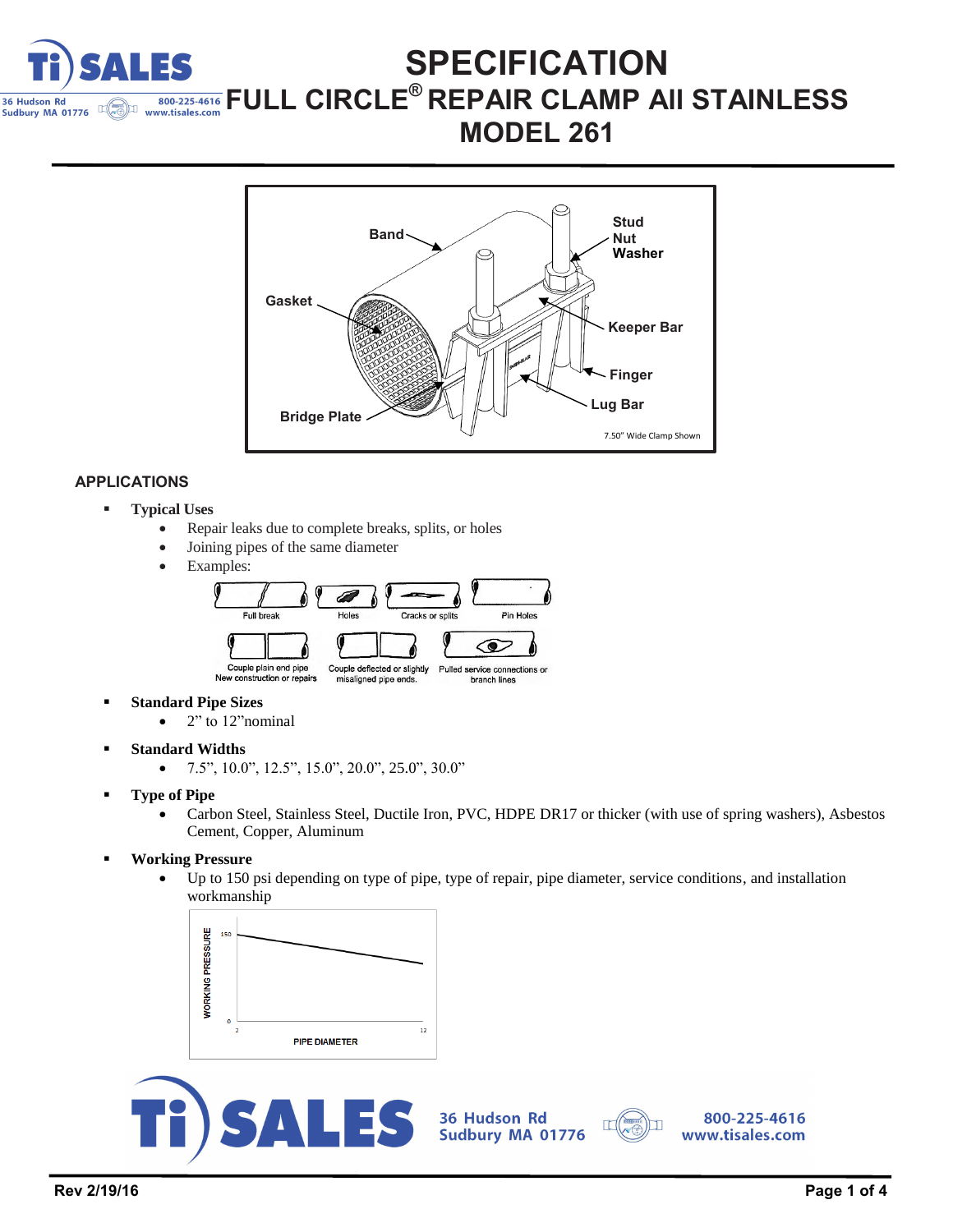

## **SPECIFICATION FULL CIRCLE<sup>®</sup> REPAIR CLAMP AII STAINLESS** www.tisales.com **MODEL 261**



### **APPLICATIONS**

- **Typical Uses**
	- Repair leaks due to complete breaks, splits, or holes
	- Joining pipes of the same diameter
	- Examples:



- **Standard Pipe Sizes**
	- $\bullet$  2" to 12" nominal
- **Standard Widths**
	- $\bullet$  7.5", 10.0", 12.5", 15.0", 20.0", 25.0", 30.0"
- **Type of Pipe**
	- Carbon Steel, Stainless Steel, Ductile Iron, PVC, HDPE DR17 or thicker (with use of spring washers), Asbestos Cement, Copper, Aluminum
- **Working Pressure**
	- Up to 150 psi depending on type of pipe, type of repair, pipe diameter, service conditions, and installation workmanship





36 Hudson Rd Sudbury MA 01776



800-225-4616 www.tisales.com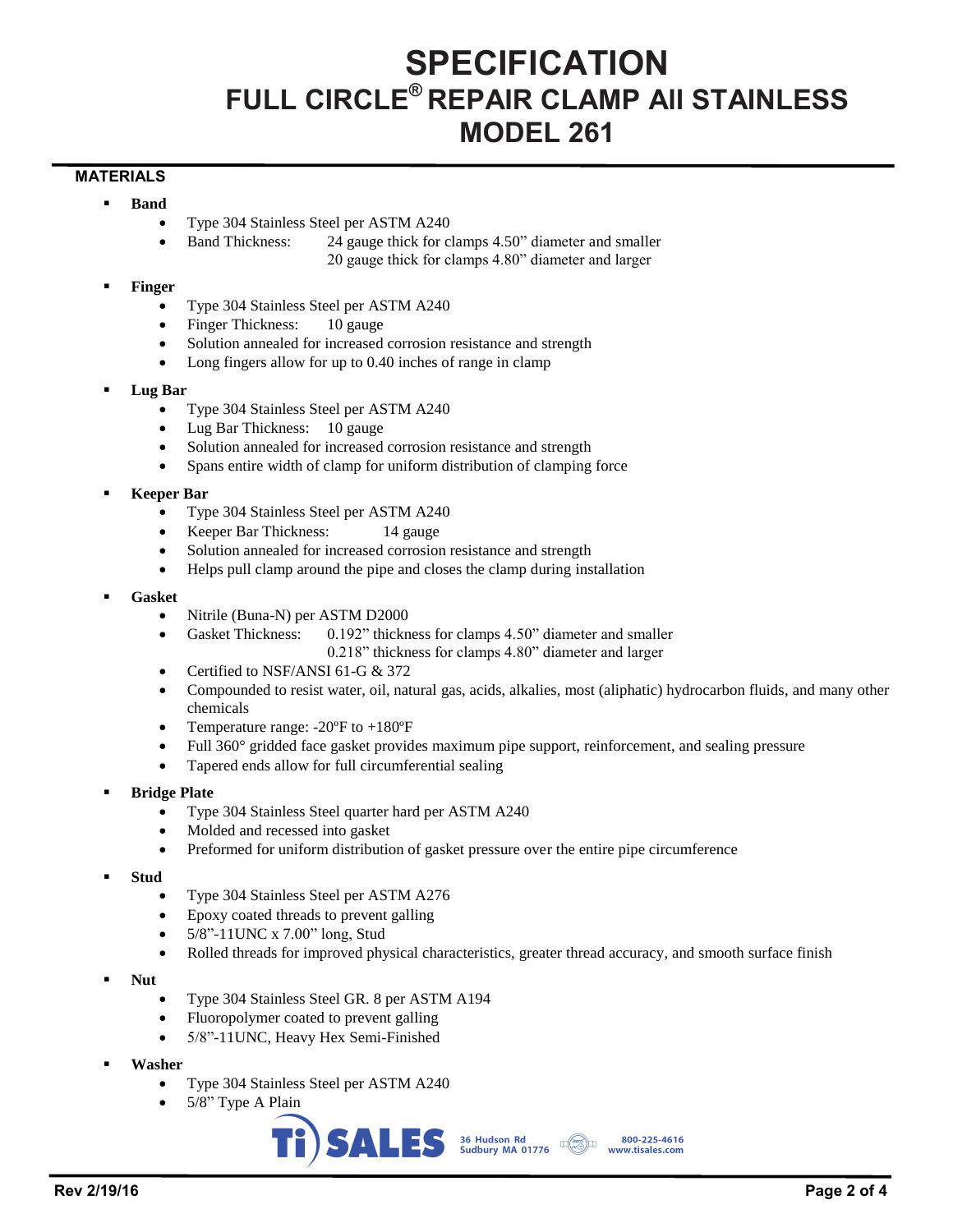# **SPECIFICATION FULL CIRCLE® REPAIR CLAMP All STAINLESS MODEL 261**

### **MATERIALS**

- **Band**
	- Type 304 Stainless Steel per ASTM A240
	- Band Thickness: 24 gauge thick for clamps 4.50" diameter and smaller 20 gauge thick for clamps 4.80" diameter and larger
- **Finger**
	- Type 304 Stainless Steel per ASTM A240
	- Finger Thickness: 10 gauge
	- Solution annealed for increased corrosion resistance and strength
	- Long fingers allow for up to 0.40 inches of range in clamp
- **Lug Bar**
	- Type 304 Stainless Steel per ASTM A240
	- Lug Bar Thickness: 10 gauge
	- Solution annealed for increased corrosion resistance and strength
	- Spans entire width of clamp for uniform distribution of clamping force
- **Keeper Bar**
	- Type 304 Stainless Steel per ASTM A240
	- Keeper Bar Thickness: 14 gauge
	- Solution annealed for increased corrosion resistance and strength
	- Helps pull clamp around the pipe and closes the clamp during installation
- **Gasket**
	- Nitrile (Buna-N) per ASTM D2000
	- Gasket Thickness: 0.192" thickness for clamps 4.50" diameter and smaller
		- 0.218" thickness for clamps 4.80" diameter and larger
	- Certified to NSF/ANSI 61-G & 372
	- Compounded to resist water, oil, natural gas, acids, alkalies, most (aliphatic) hydrocarbon fluids, and many other chemicals
	- Temperature range: -20ºF to +180ºF
	- Full 360° gridded face gasket provides maximum pipe support, reinforcement, and sealing pressure
	- Tapered ends allow for full circumferential sealing
- **Bridge Plate**
	- Type 304 Stainless Steel quarter hard per ASTM A240
	- Molded and recessed into gasket
	- Preformed for uniform distribution of gasket pressure over the entire pipe circumference
- **Stud**
	- Type 304 Stainless Steel per ASTM A276
	- Epoxy coated threads to prevent galling
	- 5/8"-11UNC x 7.00" long, Stud
	- Rolled threads for improved physical characteristics, greater thread accuracy, and smooth surface finish

800-225-4616

- **Nut**
	- Type 304 Stainless Steel GR. 8 per ASTM A194
	- Fluoropolymer coated to prevent galling
	- 5/8"-11UNC, Heavy Hex Semi-Finished
- **Washer**
	- Type 304 Stainless Steel per ASTM A240
	- 5/8" Type A Plain

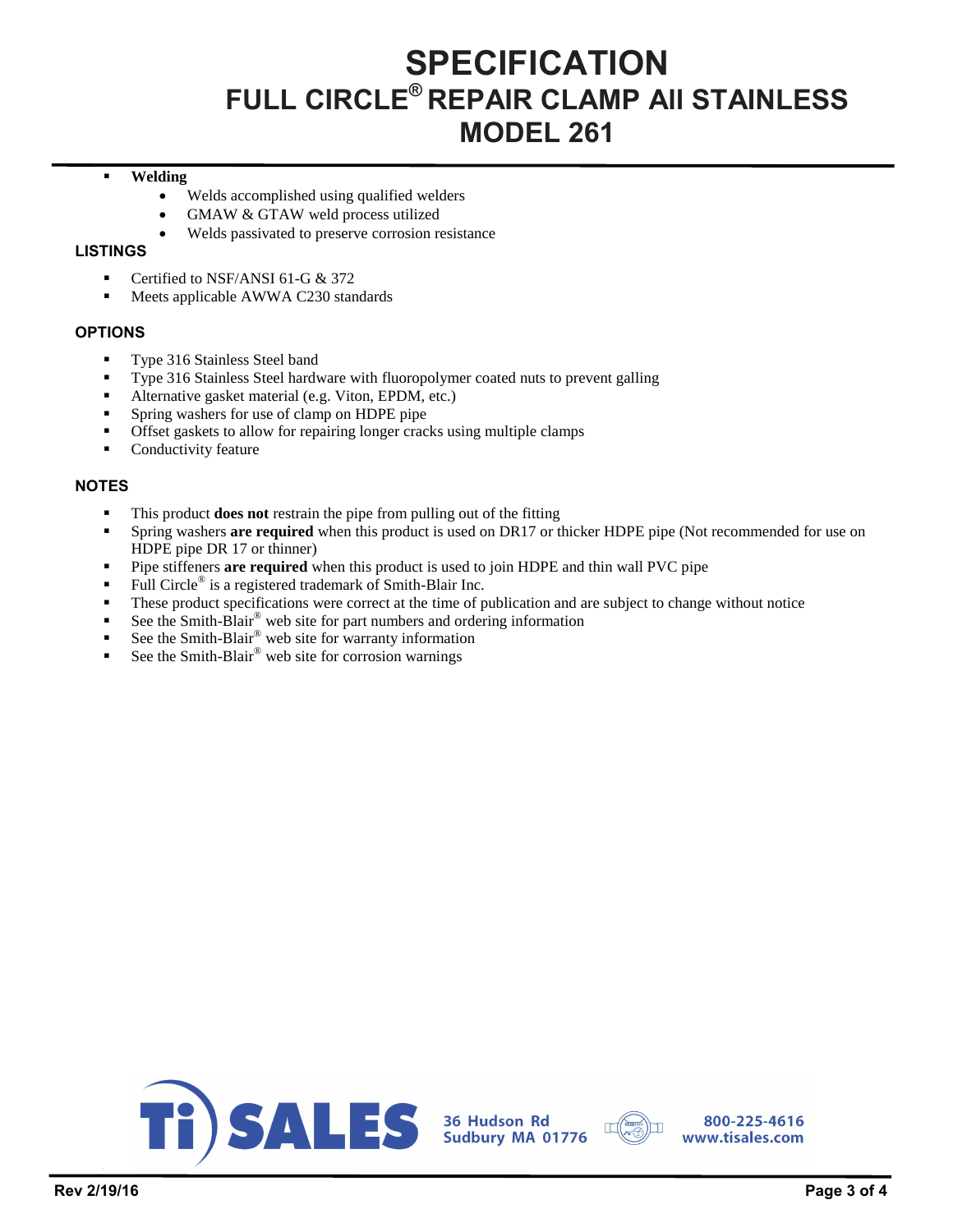# **SPECIFICATION FULL CIRCLE® REPAIR CLAMP All STAINLESS MODEL 261**

### **Welding**

- Welds accomplished using qualified welders
- GMAW & GTAW weld process utilized
- Welds passivated to preserve corrosion resistance

### **LISTINGS**

- Certified to NSF/ANSI 61-G & 372
- **Meets applicable AWWA C230 standards**

### **OPTIONS**

- Type 316 Stainless Steel band
- Type 316 Stainless Steel hardware with fluoropolymer coated nuts to prevent galling
- Alternative gasket material (e.g. Viton, EPDM, etc.)
- Spring washers for use of clamp on HDPE pipe
- Offset gaskets to allow for repairing longer cracks using multiple clamps
- **Conductivity feature**

### **NOTES**

- This product **does not** restrain the pipe from pulling out of the fitting
- Spring washers **are required** when this product is used on DR17 or thicker HDPE pipe (Not recommended for use on HDPE pipe DR 17 or thinner)
- Pipe stiffeners **are required** when this product is used to join HDPE and thin wall PVC pipe
- Full Circle<sup>®</sup> is a registered trademark of Smith-Blair Inc.
- These product specifications were correct at the time of publication and are subject to change without notice
- See the Smith-Blair® web site for part numbers and ordering information
- See the Smith-Blair® web site for warranty information
- See the Smith-Blair® web site for corrosion warnings





800-225-4616 www.tisales.com